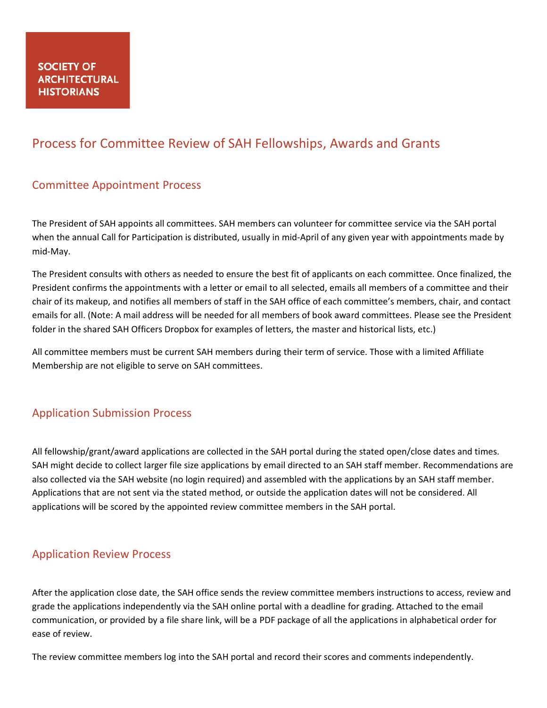# Process for Committee Review of SAH Fellowships, Awards and Grants

### Committee Appointment Process

The President of SAH appoints all committees. SAH members can volunteer for committee service via the SAH portal when the annual Call for Participation is distributed, usually in mid-April of any given year with appointments made by mid-May.

The President consults with others as needed to ensure the best fit of applicants on each committee. Once finalized, the President confirms the appointments with a letter or email to all selected, emails all members of a committee and their chair of its makeup, and notifies all members of staff in the SAH office of each committee's members, chair, and contact emails for all. (Note: A mail address will be needed for all members of book award committees. Please see the President folder in the shared SAH Officers Dropbox for examples of letters, the master and historical lists, etc.)

All committee members must be current SAH members during their term of service. Those with a limited Affiliate Membership are not eligible to serve on SAH committees.

#### Application Submission Process

All fellowship/grant/award applications are collected in the SAH portal during the stated open/close dates and times. SAH might decide to collect larger file size applications by email directed to an SAH staff member. Recommendations are also collected via the SAH website (no login required) and assembled with the applications by an SAH staff member. Applications that are not sent via the stated method, or outside the application dates will not be considered. All applications will be scored by the appointed review committee members in the SAH portal.

#### Application Review Process

After the application close date, the SAH office sends the review committee members instructions to access, review and grade the applications independently via the SAH online portal with a deadline for grading. Attached to the email communication, or provided by a file share link, will be a PDF package of all the applications in alphabetical order for ease of review.

The review committee members log into the SAH portal and record their scores and comments independently.